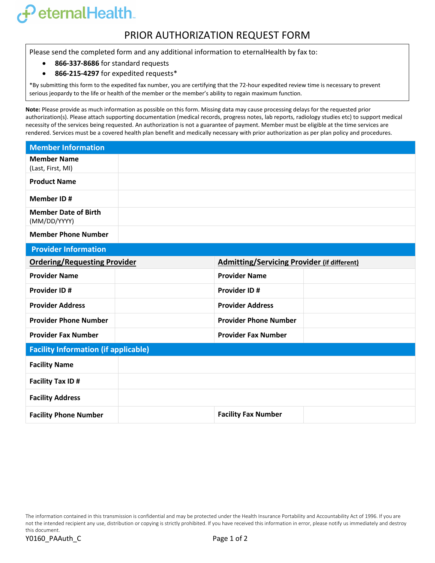## $\boldsymbol{f}$ eternalHealth.

## PRIOR AUTHORIZATION REQUEST FORM

Please send the completed form and any additional information to eternalHealth by fax to:

- **866-337-8686** for standard requests
- **866-215-4297** for expedited requests\*

\*By submitting this form to the expedited fax number, you are certifying that the 72-hour expedited review time is necessary to prevent serious jeopardy to the life or health of the member or the member's ability to regain maximum function.

**Note:** Please provide as much information as possible on this form. Missing data may cause processing delays for the requested prior authorization(s). Please attach supporting documentation (medical records, progress notes, lab reports, radiology studies etc) to support medical necessity of the services being requested. An authorization is not a guarantee of payment. Member must be eligible at the time services are rendered. Services must be a covered health plan benefit and medically necessary with prior authorization as per plan policy and procedures.

| <b>Member Information</b>                   |                                                    |  |
|---------------------------------------------|----------------------------------------------------|--|
| <b>Member Name</b><br>(Last, First, MI)     |                                                    |  |
| <b>Product Name</b>                         |                                                    |  |
| Member ID#                                  |                                                    |  |
| <b>Member Date of Birth</b><br>(MM/DD/YYYY) |                                                    |  |
| <b>Member Phone Number</b>                  |                                                    |  |
| <b>Provider Information</b>                 |                                                    |  |
| <b>Ordering/Requesting Provider</b>         | <b>Admitting/Servicing Provider (if different)</b> |  |
| <b>Provider Name</b>                        | <b>Provider Name</b>                               |  |
| <b>Provider ID#</b>                         | <b>Provider ID#</b>                                |  |
| <b>Provider Address</b>                     | <b>Provider Address</b>                            |  |
| <b>Provider Phone Number</b>                | <b>Provider Phone Number</b>                       |  |
| <b>Provider Fax Number</b>                  | <b>Provider Fax Number</b>                         |  |
| <b>Facility Information (if applicable)</b> |                                                    |  |
| <b>Facility Name</b>                        |                                                    |  |
| <b>Facility Tax ID#</b>                     |                                                    |  |
| <b>Facility Address</b>                     |                                                    |  |
| <b>Facility Phone Number</b>                | <b>Facility Fax Number</b>                         |  |

The information contained in this transmission is confidential and may be protected under the Health Insurance Portability and Accountability Act of 1996. If you are not the intended recipient any use, distribution or copying is strictly prohibited. If you have received this information in error, please notify us immediately and destroy this document.